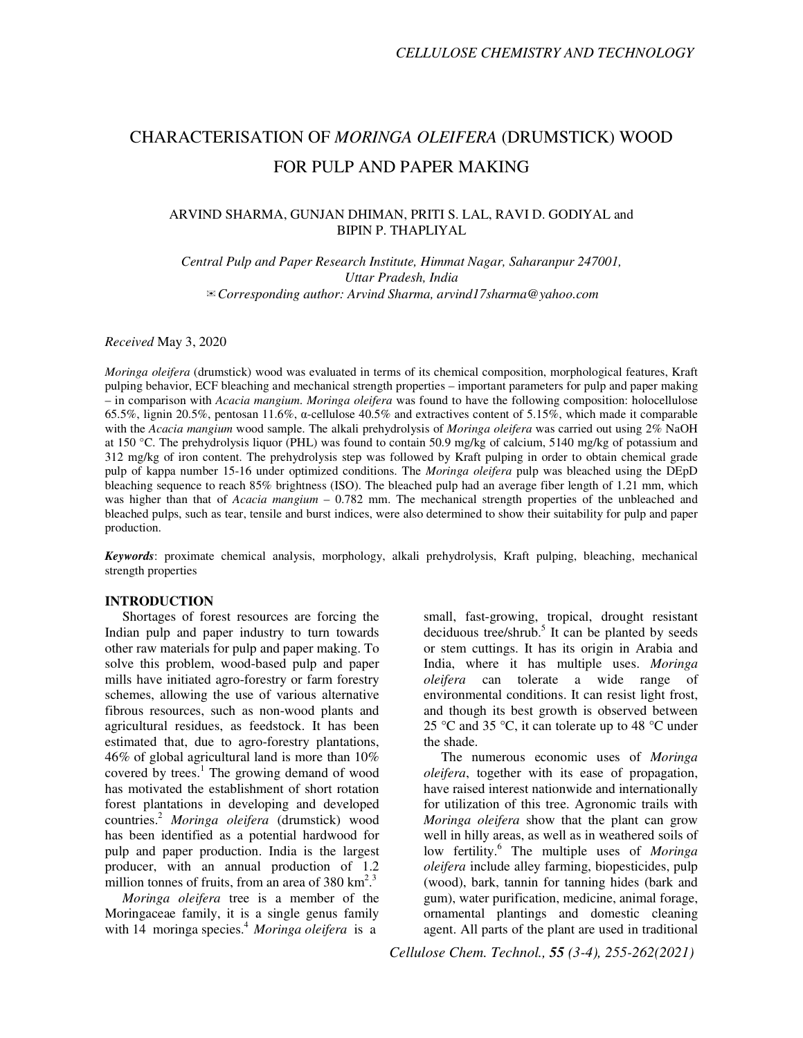# CHARACTERISATION OF *MORINGA OLEIFERA* (DRUMSTICK) WOOD FOR PULP AND PAPER MAKING

## ARVIND SHARMA, GUNJAN DHIMAN, PRITI S. LAL, RAVI D. GODIYAL and BIPIN P. THAPLIYAL

*Central Pulp and Paper Research Institute, Himmat Nagar, Saharanpur 247001, Uttar Pradesh, India*  ✉*Corresponding author: Arvind Sharma, arvind17sharma@yahoo.com* 

*Received* May 3, 2020

*Moringa oleifera* (drumstick) wood was evaluated in terms of its chemical composition, morphological features, Kraft pulping behavior, ECF bleaching and mechanical strength properties – important parameters for pulp and paper making – in comparison with *Acacia mangium*. *Moringa oleifera* was found to have the following composition: holocellulose 65.5%, lignin 20.5%, pentosan 11.6%, α-cellulose 40.5% and extractives content of 5.15%, which made it comparable with the *Acacia mangium* wood sample. The alkali prehydrolysis of *Moringa oleifera* was carried out using 2% NaOH at 150 °C. The prehydrolysis liquor (PHL) was found to contain 50.9 mg/kg of calcium, 5140 mg/kg of potassium and 312 mg/kg of iron content. The prehydrolysis step was followed by Kraft pulping in order to obtain chemical grade pulp of kappa number 15-16 under optimized conditions. The *Moringa oleifera* pulp was bleached using the DEpD bleaching sequence to reach 85% brightness (ISO). The bleached pulp had an average fiber length of 1.21 mm, which was higher than that of *Acacia mangium* – 0.782 mm. The mechanical strength properties of the unbleached and bleached pulps, such as tear, tensile and burst indices, were also determined to show their suitability for pulp and paper production.

*Keywords*: proximate chemical analysis, morphology, alkali prehydrolysis, Kraft pulping, bleaching, mechanical strength properties

#### **INTRODUCTION**

Shortages of forest resources are forcing the Indian pulp and paper industry to turn towards other raw materials for pulp and paper making. To solve this problem, wood-based pulp and paper mills have initiated agro-forestry or farm forestry schemes, allowing the use of various alternative fibrous resources, such as non-wood plants and agricultural residues, as feedstock. It has been estimated that, due to agro-forestry plantations, 46% of global agricultural land is more than 10% covered by trees. $<sup>1</sup>$  The growing demand of wood</sup> has motivated the establishment of short rotation forest plantations in developing and developed countries.<sup>2</sup> *Moringa oleifera* (drumstick) wood has been identified as a potential hardwood for pulp and paper production. India is the largest producer, with an annual production of 1.2 million tonnes of fruits, from an area of  $380 \text{ km}^2$ .<sup>3</sup>

*Moringa oleifera* tree is a member of the Moringaceae family, it is a single genus family with 14 moringa species.<sup>4</sup> Moringa oleifera is a

small, fast-growing, tropical, drought resistant deciduous tree/shrub.<sup>5</sup> It can be planted by seeds or stem cuttings. It has its origin in Arabia and India, where it has multiple uses. *Moringa oleifera* can tolerate a wide range of environmental conditions. It can resist light frost, and though its best growth is observed between 25 °C and 35 °C, it can tolerate up to 48 °C under the shade.

The numerous economic uses of *Moringa oleifera*, together with its ease of propagation, have raised interest nationwide and internationally for utilization of this tree. Agronomic trails with *Moringa oleifera* show that the plant can grow well in hilly areas, as well as in weathered soils of low fertility.<sup>6</sup> The multiple uses of *Moringa oleifera* include alley farming, biopesticides, pulp (wood), bark, tannin for tanning hides (bark and gum), water purification, medicine, animal forage, ornamental plantings and domestic cleaning agent. All parts of the plant are used in traditional

*Cellulose Chem. Technol., 55 (3-4), 255-262(2021)*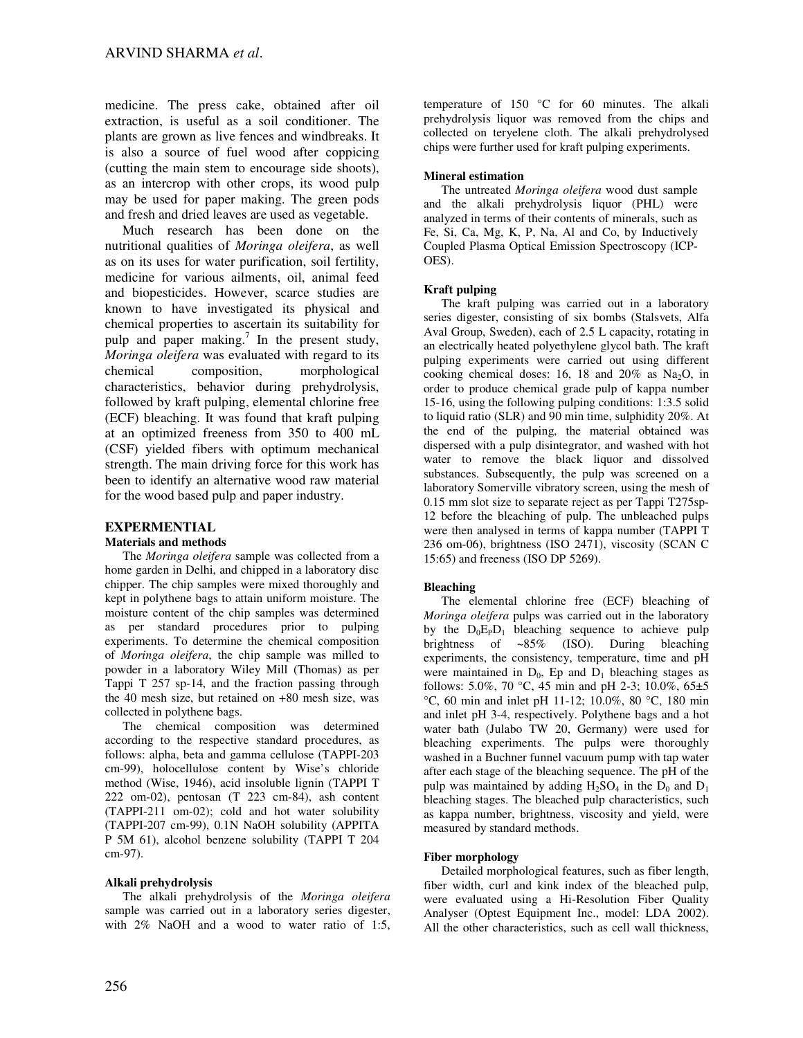medicine. The press cake, obtained after oil extraction, is useful as a soil conditioner. The plants are grown as live fences and windbreaks. It is also a source of fuel wood after coppicing (cutting the main stem to encourage side shoots), as an intercrop with other crops, its wood pulp may be used for paper making. The green pods and fresh and dried leaves are used as vegetable.

Much research has been done on the nutritional qualities of *Moringa oleifera*, as well as on its uses for water purification, soil fertility, medicine for various ailments, oil, animal feed and biopesticides. However, scarce studies are known to have investigated its physical and chemical properties to ascertain its suitability for pulp and paper making.<sup>7</sup> In the present study, *Moringa oleifera* was evaluated with regard to its chemical composition, morphological characteristics, behavior during prehydrolysis, followed by kraft pulping, elemental chlorine free (ECF) bleaching. It was found that kraft pulping at an optimized freeness from 350 to 400 mL (CSF) yielded fibers with optimum mechanical strength. The main driving force for this work has been to identify an alternative wood raw material for the wood based pulp and paper industry.

## **EXPERMENTIAL**

#### **Materials and methods**

The *Moringa oleifera* sample was collected from a home garden in Delhi, and chipped in a laboratory disc chipper. The chip samples were mixed thoroughly and kept in polythene bags to attain uniform moisture. The moisture content of the chip samples was determined as per standard procedures prior to pulping experiments. To determine the chemical composition of *Moringa oleifera*, the chip sample was milled to powder in a laboratory Wiley Mill (Thomas) as per Tappi T 257 sp-14, and the fraction passing through the 40 mesh size, but retained on +80 mesh size, was collected in polythene bags.

The chemical composition was determined according to the respective standard procedures, as follows: alpha, beta and gamma cellulose (TAPPI-203 cm-99), holocellulose content by Wise's chloride method (Wise, 1946), acid insoluble lignin (TAPPI T 222 om-02), pentosan (T 223 cm-84), ash content (TAPPI-211 om-02); cold and hot water solubility (TAPPI-207 cm-99), 0.1N NaOH solubility (APPITA P 5M 61), alcohol benzene solubility (TAPPI T 204 cm-97).

#### **Alkali prehydrolysis**

The alkali prehydrolysis of the *Moringa oleifera* sample was carried out in a laboratory series digester, with 2% NaOH and a wood to water ratio of 1:5, temperature of 150 °C for 60 minutes. The alkali prehydrolysis liquor was removed from the chips and collected on teryelene cloth. The alkali prehydrolysed chips were further used for kraft pulping experiments.

#### **Mineral estimation**

The untreated *Moringa oleifera* wood dust sample and the alkali prehydrolysis liquor (PHL) were analyzed in terms of their contents of minerals, such as Fe, Si, Ca, Mg, K, P, Na, Al and Co, by Inductively Coupled Plasma Optical Emission Spectroscopy (ICP-OES).

#### **Kraft pulping**

The kraft pulping was carried out in a laboratory series digester, consisting of six bombs (Stalsvets, Alfa Aval Group, Sweden), each of 2.5 L capacity, rotating in an electrically heated polyethylene glycol bath. The kraft pulping experiments were carried out using different cooking chemical doses: 16, 18 and  $20\%$  as Na<sub>2</sub>O, in order to produce chemical grade pulp of kappa number 15-16, using the following pulping conditions: 1:3.5 solid to liquid ratio (SLR) and 90 min time, sulphidity 20%. At the end of the pulping, the material obtained was dispersed with a pulp disintegrator, and washed with hot water to remove the black liquor and dissolved substances. Subsequently, the pulp was screened on a laboratory Somerville vibratory screen, using the mesh of 0.15 mm slot size to separate reject as per Tappi T275sp-12 before the bleaching of pulp. The unbleached pulps were then analysed in terms of kappa number (TAPPI T 236 om-06), brightness (ISO 2471), viscosity (SCAN C 15:65) and freeness (ISO DP 5269).

#### **Bleaching**

The elemental chlorine free (ECF) bleaching of *Moringa oleifera* pulps was carried out in the laboratory by the  $D_0E_PD_1$  bleaching sequence to achieve pulp brightness of ~85% (ISO). During bleaching experiments, the consistency, temperature, time and pH were maintained in  $D_0$ , Ep and  $D_1$  bleaching stages as follows: 5.0%, 70 °C, 45 min and pH 2-3; 10.0%, 65±5 °C, 60 min and inlet pH 11-12; 10.0%, 80 °C, 180 min and inlet pH 3-4, respectively. Polythene bags and a hot water bath (Julabo TW 20, Germany) were used for bleaching experiments. The pulps were thoroughly washed in a Buchner funnel vacuum pump with tap water after each stage of the bleaching sequence. The pH of the pulp was maintained by adding  $H_2SO_4$  in the  $D_0$  and  $D_1$ bleaching stages. The bleached pulp characteristics, such as kappa number, brightness, viscosity and yield, were measured by standard methods.

#### **Fiber morphology**

Detailed morphological features, such as fiber length, fiber width, curl and kink index of the bleached pulp, were evaluated using a Hi-Resolution Fiber Quality Analyser (Optest Equipment Inc., model: LDA 2002). All the other characteristics, such as cell wall thickness,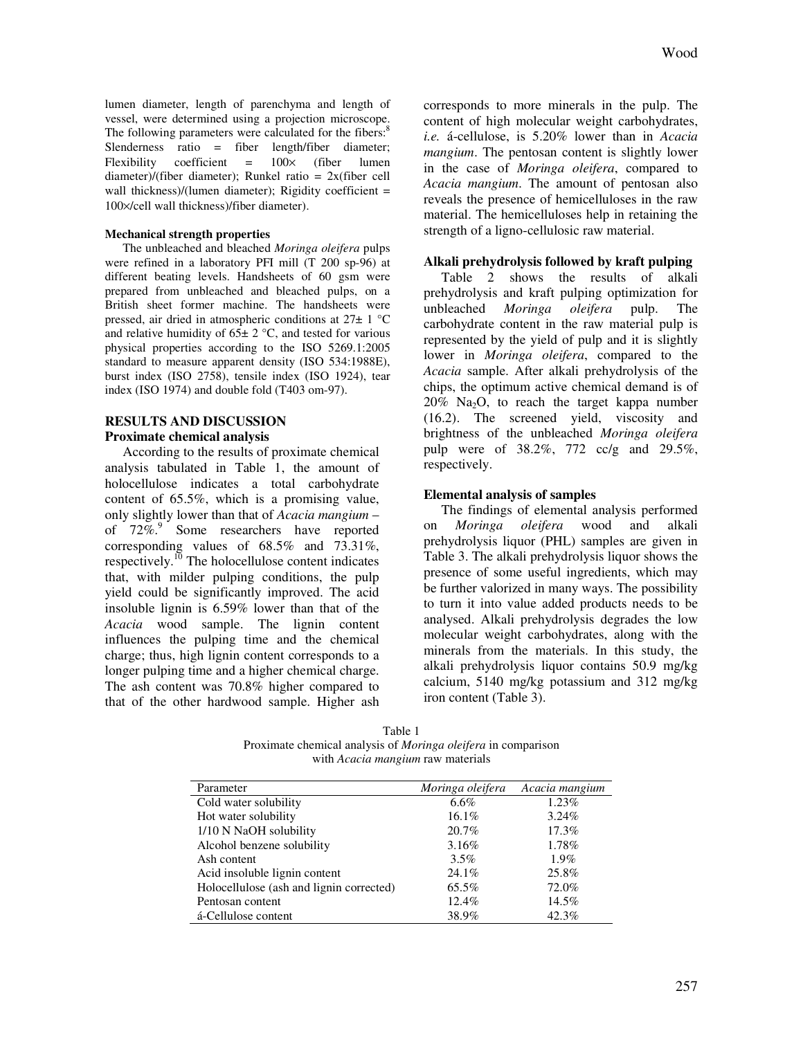lumen diameter, length of parenchyma and length of vessel, were determined using a projection microscope. The following parameters were calculated for the fibers:<sup>8</sup> Slenderness ratio = fiber length/fiber diameter; Flexibility coefficient =  $100 \times$  (fiber lumen diameter)/(fiber diameter); Runkel ratio = 2x(fiber cell wall thickness)/(lumen diameter); Rigidity coefficient  $=$ 100×/cell wall thickness)/fiber diameter).

#### **Mechanical strength properties**

The unbleached and bleached *Moringa oleifera* pulps were refined in a laboratory PFI mill (T 200 sp-96) at different beating levels. Handsheets of 60 gsm were prepared from unbleached and bleached pulps, on a British sheet former machine. The handsheets were pressed, air dried in atmospheric conditions at 27± 1 °C and relative humidity of  $65\pm 2$  °C, and tested for various physical properties according to the ISO 5269.1:2005 standard to measure apparent density (ISO 534:1988E), burst index (ISO 2758), tensile index (ISO 1924), tear index (ISO 1974) and double fold (T403 om-97).

## **RESULTS AND DISCUSSION Proximate chemical analysis**

According to the results of proximate chemical analysis tabulated in Table 1, the amount of holocellulose indicates a total carbohydrate content of 65.5%, which is a promising value, only slightly lower than that of *Acacia mangium* – of  $72\%$ <sup>9</sup> Some researchers have reported corresponding values of 68.5% and 73.31%, respectively.<sup>10</sup> The holocellulose content indicates that, with milder pulping conditions, the pulp yield could be significantly improved. The acid insoluble lignin is 6.59% lower than that of the *Acacia* wood sample. The lignin content influences the pulping time and the chemical charge; thus, high lignin content corresponds to a longer pulping time and a higher chemical charge. The ash content was 70.8% higher compared to that of the other hardwood sample. Higher ash

corresponds to more minerals in the pulp. The content of high molecular weight carbohydrates, *i.e.* á-cellulose, is 5.20% lower than in *Acacia mangium*. The pentosan content is slightly lower in the case of *Moringa oleifera*, compared to *Acacia mangium*. The amount of pentosan also reveals the presence of hemicelluloses in the raw material. The hemicelluloses help in retaining the strength of a ligno-cellulosic raw material.

#### **Alkali prehydrolysis followed by kraft pulping**

Table 2 shows the results of alkali prehydrolysis and kraft pulping optimization for unbleached *Moringa oleifera* pulp. The carbohydrate content in the raw material pulp is represented by the yield of pulp and it is slightly lower in *Moringa oleifera*, compared to the *Acacia* sample. After alkali prehydrolysis of the chips, the optimum active chemical demand is of  $20\%$  Na<sub>2</sub>O, to reach the target kappa number (16.2). The screened yield, viscosity and brightness of the unbleached *Moringa oleifera* pulp were of 38.2%, 772 cc/g and 29.5%, respectively.

## **Elemental analysis of samples**

The findings of elemental analysis performed on *Moringa oleifera* wood and alkali prehydrolysis liquor (PHL) samples are given in Table 3. The alkali prehydrolysis liquor shows the presence of some useful ingredients, which may be further valorized in many ways. The possibility to turn it into value added products needs to be analysed. Alkali prehydrolysis degrades the low molecular weight carbohydrates, along with the minerals from the materials. In this study, the alkali prehydrolysis liquor contains 50.9 mg/kg calcium, 5140 mg/kg potassium and 312 mg/kg iron content (Table 3).

Table 1 Proximate chemical analysis of *Moringa oleifera* in comparison with *Acacia mangium* raw materials

| Parameter                                | Moringa oleifera | Acacia mangium |
|------------------------------------------|------------------|----------------|
| Cold water solubility                    | $6.6\%$          | 1.23%          |
| Hot water solubility                     | $16.1\%$         | $3.24\%$       |
| 1/10 N NaOH solubility                   | 20.7%            | 17.3%          |
| Alcohol benzene solubility               | 3.16%            | 1.78%          |
| Ash content                              | $3.5\%$          | $1.9\%$        |
| Acid insoluble lignin content            | 24.1%            | 25.8%          |
| Holocellulose (ash and lignin corrected) | 65.5%            | 72.0%          |
| Pentosan content                         | 12.4%            | 14.5%          |
| á-Cellulose content                      | 38.9%            | 42.3%          |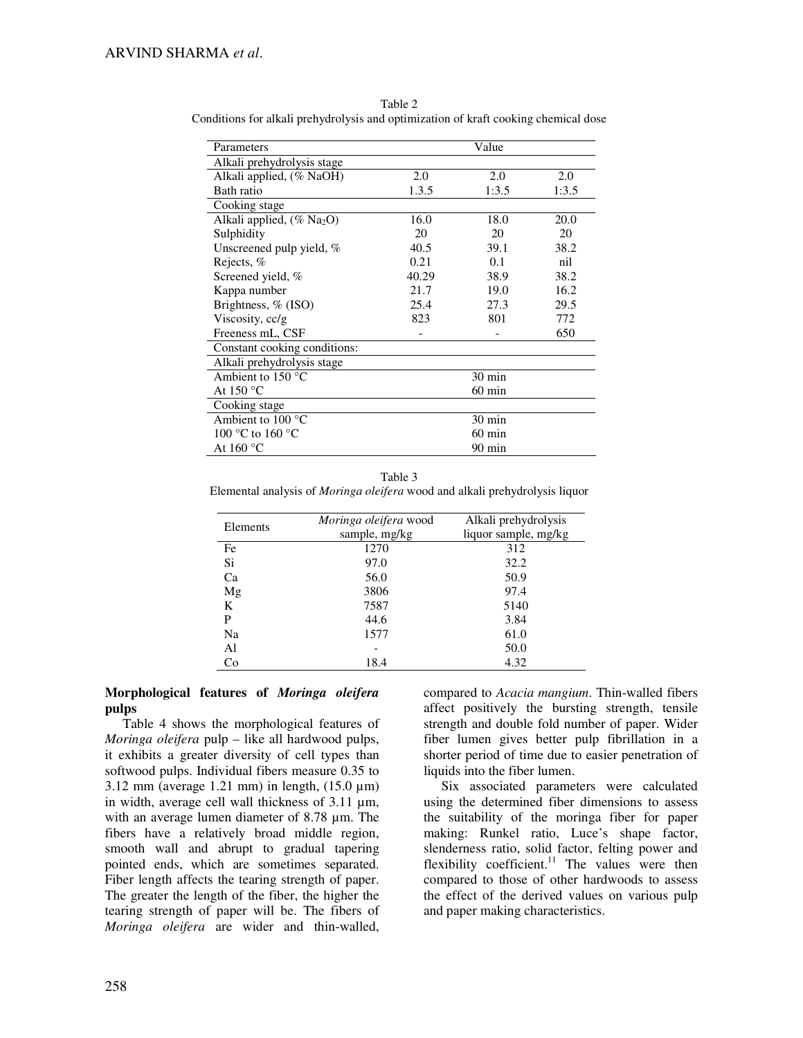| Parameters                               |                  | Value            |       |  |
|------------------------------------------|------------------|------------------|-------|--|
| Alkali prehydrolysis stage               |                  |                  |       |  |
| Alkali applied, (% NaOH)                 | 2.0              | 2.0              | 2.0   |  |
| Bath ratio                               | 1.3.5            | 1:3.5            | 1:3.5 |  |
| Cooking stage                            |                  |                  |       |  |
| Alkali applied, $(\%$ Na <sub>2</sub> O) | 16.0             | 18.0             | 20.0  |  |
| Sulphidity                               | 20               | 20               | 20    |  |
| Unscreened pulp yield, %                 | 40.5             | 39.1             | 38.2  |  |
| Rejects, %                               | 0.21             | 0.1              | nil   |  |
| Screened yield, %                        | 40.29            | 38.9             | 38.2  |  |
| Kappa number                             | 21.7             | 19.0             | 16.2  |  |
| Brightness, $%$ (ISO)                    | 25.4             | 27.3             | 29.5  |  |
| Viscosity, cc/g                          | 823              | 801              | 772   |  |
| Freeness mL, CSF                         |                  |                  | 650   |  |
| Constant cooking conditions:             |                  |                  |       |  |
| Alkali prehydrolysis stage               |                  |                  |       |  |
| Ambient to $150^{\circ}$ C               |                  | $30 \text{ min}$ |       |  |
| At 150 $\mathrm{^{\circ}C}$              | $60 \text{ min}$ |                  |       |  |
| Cooking stage                            |                  |                  |       |  |
| Ambient to 100 °C                        |                  | $30 \text{ min}$ |       |  |
| 100 °C to 160 °C                         | $60 \text{ min}$ |                  |       |  |
| At 160 °C                                |                  | 90 min           |       |  |

Table 2 Conditions for alkali prehydrolysis and optimization of kraft cooking chemical dose

Table 3 Elemental analysis of *Moringa oleifera* wood and alkali prehydrolysis liquor

| Elements | Moringa oleifera wood | Alkali prehydrolysis |  |  |
|----------|-----------------------|----------------------|--|--|
|          | sample, mg/kg         | liquor sample, mg/kg |  |  |
| Fe       | 1270                  | 312                  |  |  |
| Si       | 97.0                  | 32.2                 |  |  |
| Ca       | 56.0                  | 50.9                 |  |  |
| Mg       | 3806                  | 97.4                 |  |  |
| K        | 7587                  | 5140                 |  |  |
| P        | 44.6                  | 3.84                 |  |  |
| Na       | 1577                  | 61.0                 |  |  |
| Al       |                       | 50.0                 |  |  |
| Co       | 18.4                  | 4.32                 |  |  |

## **Morphological features of** *Moringa oleifera* **pulps**

Table 4 shows the morphological features of *Moringa oleifera* pulp – like all hardwood pulps, it exhibits a greater diversity of cell types than softwood pulps. Individual fibers measure 0.35 to 3.12 mm (average 1.21 mm) in length,  $(15.0 \,\mu\text{m})$ in width, average cell wall thickness of 3.11  $\mu$ m, with an average lumen diameter of 8.78 µm. The fibers have a relatively broad middle region, smooth wall and abrupt to gradual tapering pointed ends, which are sometimes separated. Fiber length affects the tearing strength of paper. The greater the length of the fiber, the higher the tearing strength of paper will be. The fibers of *Moringa oleifera* are wider and thin-walled,

compared to *Acacia mangium*. Thin-walled fibers affect positively the bursting strength, tensile strength and double fold number of paper. Wider fiber lumen gives better pulp fibrillation in a shorter period of time due to easier penetration of liquids into the fiber lumen.

Six associated parameters were calculated using the determined fiber dimensions to assess the suitability of the moringa fiber for paper making: Runkel ratio, Luce's shape factor, slenderness ratio, solid factor, felting power and flexibility coefficient.<sup>11</sup> The values were then compared to those of other hardwoods to assess the effect of the derived values on various pulp and paper making characteristics.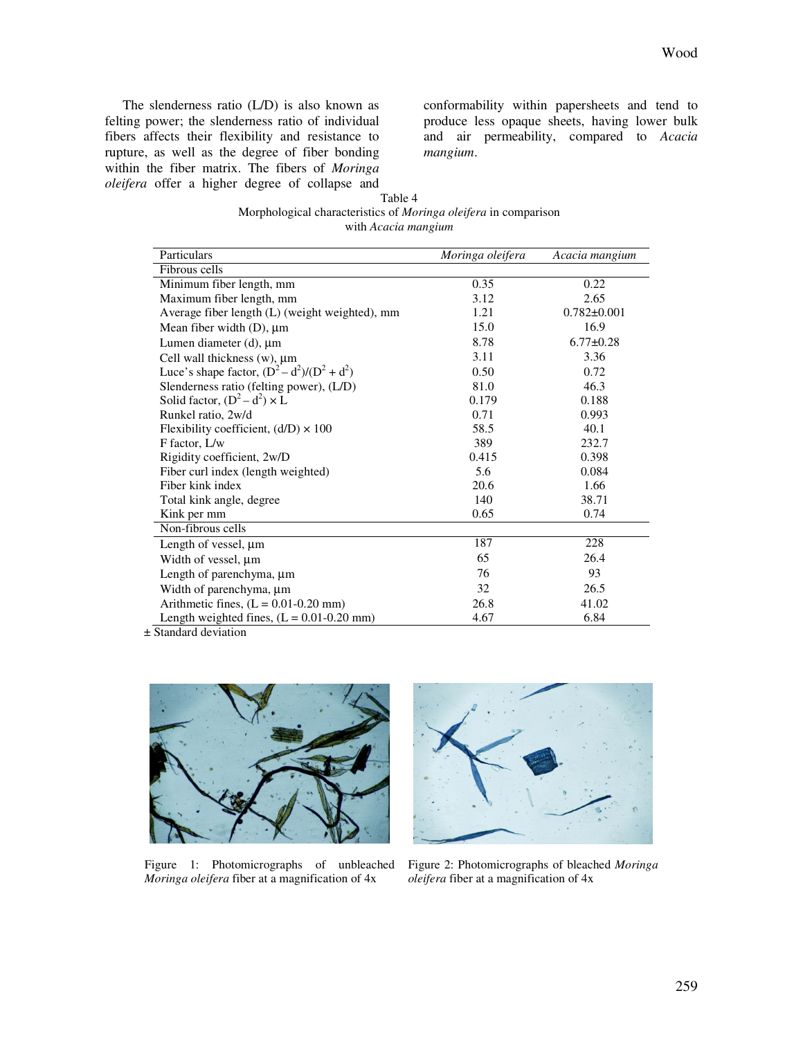The slenderness ratio (L/D) is also known as felting power; the slenderness ratio of individual fibers affects their flexibility and resistance to rupture, as well as the degree of fiber bonding within the fiber matrix. The fibers of *Moringa oleifera* offer a higher degree of collapse and conformability within papersheets and tend to produce less opaque sheets, having lower bulk and air permeability, compared to *Acacia mangium*.

| Table 4                                                                |  |  |  |  |  |
|------------------------------------------------------------------------|--|--|--|--|--|
| Morphological characteristics of <i>Moringa oleifera</i> in comparison |  |  |  |  |  |
| with <i>Acacia mangium</i>                                             |  |  |  |  |  |

| Particulars                                    | Moringa oleifera | Acacia mangium    |
|------------------------------------------------|------------------|-------------------|
| Fibrous cells                                  |                  |                   |
| Minimum fiber length, mm                       | 0.35             | 0.22              |
| Maximum fiber length, mm                       | 3.12             | 2.65              |
| Average fiber length (L) (weight weighted), mm | 1.21             | $0.782 \pm 0.001$ |
| Mean fiber width $(D)$ , $\mu$ m               | 15.0             | 16.9              |
| Lumen diameter $(d)$ , $\mu$ m                 | 8.78             | $6.77 \pm 0.28$   |
| Cell wall thickness $(w)$ , $\mu$ m            | 3.11             | 3.36              |
| Luce's shape factor, $(D^2 - d^2)/(D^2 + d^2)$ | 0.50             | 0.72              |
| Slenderness ratio (felting power), (L/D)       | 81.0             | 46.3              |
| Solid factor, $(D^2 - d^2) \times L$           | 0.179            | 0.188             |
| Runkel ratio, 2w/d                             | 0.71             | 0.993             |
| Flexibility coefficient, $(d/D) \times 100$    | 58.5             | 40.1              |
| F factor, L/w                                  | 389              | 232.7             |
| Rigidity coefficient, 2w/D                     | 0.415            | 0.398             |
| Fiber curl index (length weighted)             | 5.6              | 0.084             |
| Fiber kink index                               | 20.6             | 1.66              |
| Total kink angle, degree                       | 140              | 38.71             |
| Kink per mm                                    | 0.65             | 0.74              |
| Non-fibrous cells                              |                  |                   |
| Length of vessel, $\mu$ m                      | 187              | 228               |
| Width of vessel, µm                            | 65               | 26.4              |
| Length of parenchyma, $\mu$ m                  | 76               | 93                |
| Width of parenchyma, µm                        | 32               | 26.5              |
| Arithmetic fines, $(L = 0.01 - 0.20$ mm)       | 26.8             | 41.02             |
| Length weighted fines, $(L = 0.01 - 0.20$ mm)  | 4.67             | 6.84              |

± Standard deviation



Figure 1: Photomicrographs of unbleached *Moringa oleifera* fiber at a magnification of 4x



Figure 2: Photomicrographs of bleached *Moringa oleifera* fiber at a magnification of 4x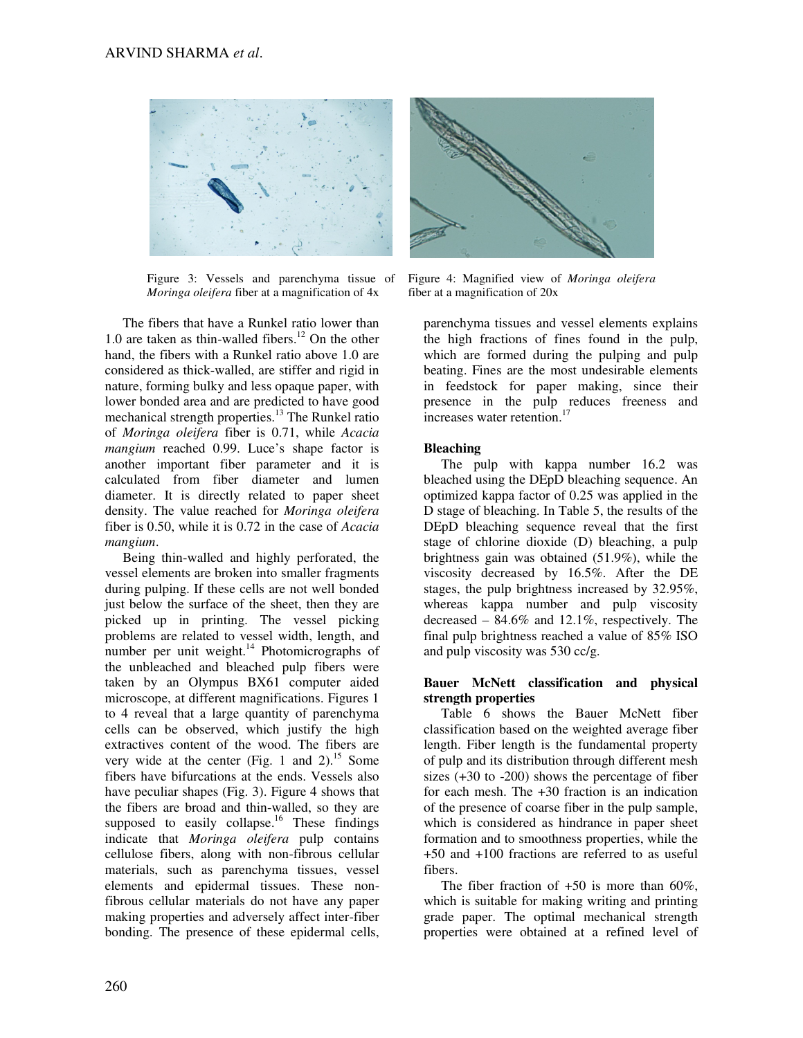

Figure 3: Vessels and parenchyma tissue of *Moringa oleifera* fiber at a magnification of 4x

The fibers that have a Runkel ratio lower than 1.0 are taken as thin-walled fibers.<sup>12</sup> On the other hand, the fibers with a Runkel ratio above 1.0 are considered as thick-walled, are stiffer and rigid in nature, forming bulky and less opaque paper, with lower bonded area and are predicted to have good mechanical strength properties.<sup>13</sup> The Runkel ratio of *Moringa oleifera* fiber is 0.71, while *Acacia mangium* reached 0.99. Luce's shape factor is another important fiber parameter and it is calculated from fiber diameter and lumen diameter. It is directly related to paper sheet density. The value reached for *Moringa oleifera* fiber is 0.50, while it is 0.72 in the case of *Acacia mangium*.

Being thin-walled and highly perforated, the vessel elements are broken into smaller fragments during pulping. If these cells are not well bonded just below the surface of the sheet, then they are picked up in printing. The vessel picking problems are related to vessel width, length, and number per unit weight.<sup>14</sup> Photomicrographs of the unbleached and bleached pulp fibers were taken by an Olympus BX61 computer aided microscope, at different magnifications. Figures 1 to 4 reveal that a large quantity of parenchyma cells can be observed, which justify the high extractives content of the wood. The fibers are very wide at the center (Fig. 1 and 2).<sup>15</sup> Some fibers have bifurcations at the ends. Vessels also have peculiar shapes (Fig. 3). Figure 4 shows that the fibers are broad and thin-walled, so they are supposed to easily collapse.<sup>16</sup> These findings indicate that *Moringa oleifera* pulp contains cellulose fibers, along with non-fibrous cellular materials, such as parenchyma tissues, vessel elements and epidermal tissues. These nonfibrous cellular materials do not have any paper making properties and adversely affect inter-fiber bonding. The presence of these epidermal cells,



Figure 4: Magnified view of *Moringa oleifera*  fiber at a magnification of 20x

parenchyma tissues and vessel elements explains the high fractions of fines found in the pulp, which are formed during the pulping and pulp beating. Fines are the most undesirable elements in feedstock for paper making, since their presence in the pulp reduces freeness and increases water retention.<sup>17</sup>

# **Bleaching**

The pulp with kappa number 16.2 was bleached using the DEpD bleaching sequence. An optimized kappa factor of 0.25 was applied in the D stage of bleaching. In Table 5, the results of the DEpD bleaching sequence reveal that the first stage of chlorine dioxide (D) bleaching, a pulp brightness gain was obtained (51.9%), while the viscosity decreased by 16.5%. After the DE stages, the pulp brightness increased by 32.95%, whereas kappa number and pulp viscosity decreased – 84.6% and 12.1%, respectively. The final pulp brightness reached a value of 85% ISO and pulp viscosity was 530 cc/g.

## **Bauer McNett classification and physical strength properties**

Table 6 shows the Bauer McNett fiber classification based on the weighted average fiber length. Fiber length is the fundamental property of pulp and its distribution through different mesh sizes (+30 to -200) shows the percentage of fiber for each mesh. The +30 fraction is an indication of the presence of coarse fiber in the pulp sample, which is considered as hindrance in paper sheet formation and to smoothness properties, while the +50 and +100 fractions are referred to as useful fibers.

The fiber fraction of  $+50$  is more than  $60\%$ , which is suitable for making writing and printing grade paper. The optimal mechanical strength properties were obtained at a refined level of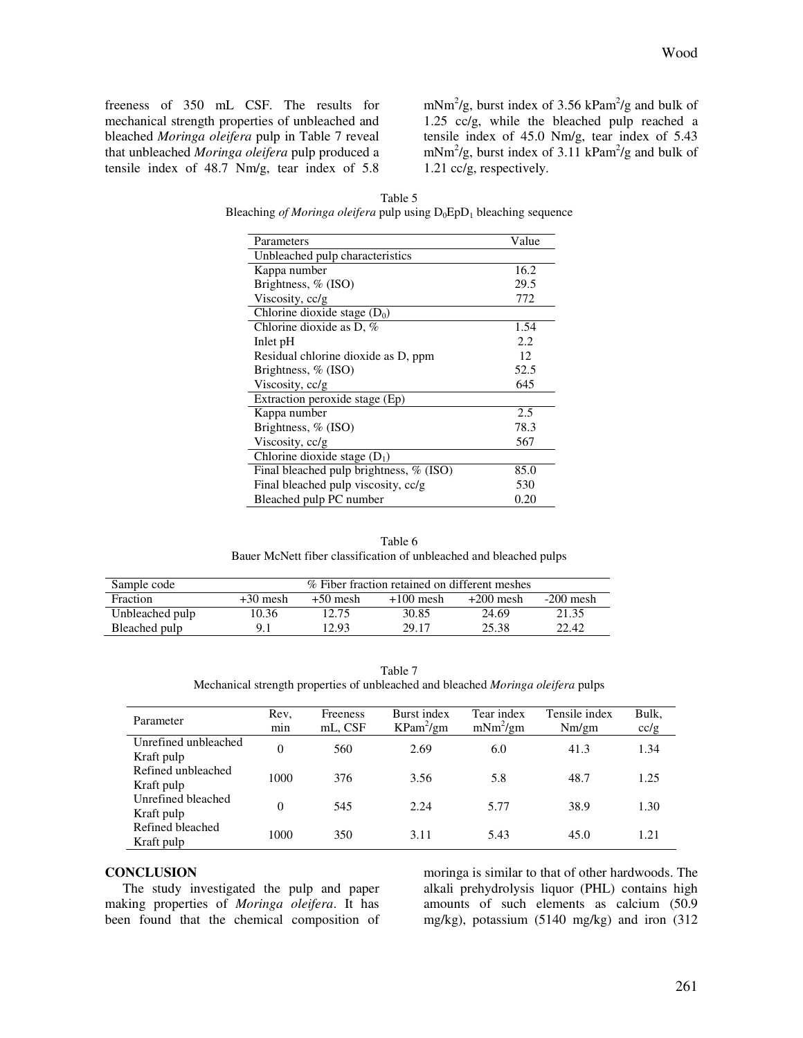freeness of 350 mL CSF. The results for mechanical strength properties of unbleached and bleached *Moringa oleifera* pulp in Table 7 reveal that unbleached *Moringa oleifera* pulp produced a tensile index of 48.7 Nm/g, tear index of 5.8

mNm<sup>2</sup>/g, burst index of 3.56 kPam<sup>2</sup>/g and bulk of 1.25 cc/g, while the bleached pulp reached a tensile index of 45.0 Nm/g, tear index of 5.43  $mNm^2/g$ , burst index of 3.11 kPam<sup>2</sup>/g and bulk of 1.21 cc/g, respectively.

Table 5 Bleaching *of Moringa oleifera* pulp using  $D_0EpD_1$  bleaching sequence

| Parameters                              | Value |
|-----------------------------------------|-------|
| Unbleached pulp characteristics         |       |
| Kappa number                            | 16.2  |
| Brightness, $%$ (ISO)                   | 29.5  |
| Viscosity, cc/g                         | 772   |
| Chlorine dioxide stage $(D_0)$          |       |
| Chlorine dioxide as $D, \%$             | 1.54  |
| Inlet pH                                | 2.2   |
| Residual chlorine dioxide as D, ppm     | 12    |
| Brightness, % (ISO)                     | 52.5  |
| Viscosity, cc/g                         | 645   |
| Extraction peroxide stage (Ep)          |       |
| Kappa number                            | 2.5   |
| Brightness, $%$ (ISO)                   | 78.3  |
| Viscosity, cc/g                         | 567   |
| Chlorine dioxide stage $(D_1)$          |       |
| Final bleached pulp brightness, % (ISO) | 85.0  |
| Final bleached pulp viscosity, cc/g     | 530   |
| Bleached pulp PC number                 | 0.20  |

Table 6 Bauer McNett fiber classification of unbleached and bleached pulps

| Sample code     | % Fiber fraction retained on different meshes |            |             |             |             |
|-----------------|-----------------------------------------------|------------|-------------|-------------|-------------|
| <b>Fraction</b> | $+30$ mesh                                    | $+50$ mesh | $+100$ mesh | $+200$ mesh | $-200$ mesh |
| Unbleached pulp | 10.36                                         | 12.75      | 30.85       | 24.69       | 21.35       |
| Bleached pulp   |                                               | 12.93      | 29.17       | 25.38       | 22.42       |

Table 7 Mechanical strength properties of unbleached and bleached *Moringa oleifera* pulps

| Parameter                          | Rev.<br>min | Freeness<br>mL, CSF | Burst index<br>$KPam^2/gm$ | Tear index<br>$mNm^2/gm$ | Tensile index<br>Nm/m | Bulk,<br>cc/g |
|------------------------------------|-------------|---------------------|----------------------------|--------------------------|-----------------------|---------------|
| Unrefined unbleached<br>Kraft pulp | 0           | 560                 | 2.69                       | 6.0                      | 41.3                  | 1.34          |
| Refined unbleached<br>Kraft pulp   | 1000        | 376                 | 3.56                       | 5.8                      | 48.7                  | 1.25          |
| Unrefined bleached<br>Kraft pulp   | 0           | 545                 | 2.24                       | 5.77                     | 38.9                  | 1.30          |
| Refined bleached<br>Kraft pulp     | 1000        | 350                 | 3.11                       | 5.43                     | 45.0                  | 1.21          |

## **CONCLUSION**

The study investigated the pulp and paper making properties of *Moringa oleifera*. It has been found that the chemical composition of moringa is similar to that of other hardwoods. The alkali prehydrolysis liquor (PHL) contains high amounts of such elements as calcium (50.9 mg/kg), potassium (5140 mg/kg) and iron (312